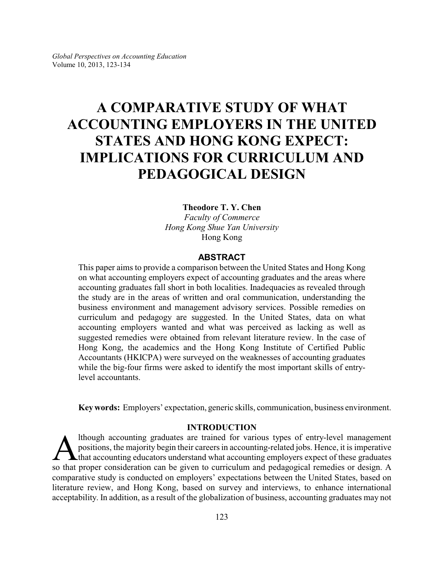# **A COMPARATIVE STUDY OF WHAT ACCOUNTING EMPLOYERS IN THE UNITED STATES AND HONG KONG EXPECT: IMPLICATIONS FOR CURRICULUM AND PEDAGOGICAL DESIGN**

#### **Theodore T. Y. Chen**

*Faculty of Commerce Hong Kong Shue Yan University* Hong Kong

# **ABSTRACT**

This paper aims to provide a comparison between the United States and Hong Kong on what accounting employers expect of accounting graduates and the areas where accounting graduates fall short in both localities. Inadequacies as revealed through the study are in the areas of written and oral communication, understanding the business environment and management advisory services. Possible remedies on curriculum and pedagogy are suggested. In the United States, data on what accounting employers wanted and what was perceived as lacking as well as suggested remedies were obtained from relevant literature review. In the case of Hong Kong, the academics and the Hong Kong Institute of Certified Public Accountants (HKICPA) were surveyed on the weaknesses of accounting graduates while the big-four firms were asked to identify the most important skills of entrylevel accountants.

**Key words:** Employers' expectation, generic skills, communication, business environment.

# **INTRODUCTION**

Ithough accounting graduates are trained for various types of entry-level management<br>positions, the majority begin their careers in accounting-related jobs. Hence, it is imperative<br>so that accounting educators understand w lthough accounting graduates are trained for various types of entry-level management positions, the majority begin their careers in accounting-related jobs. Hence, it is imperative **L** that accounting educators understand what accounting employers expect of these graduates comparative study is conducted on employers' expectations between the United States, based on literature review, and Hong Kong, based on survey and interviews, to enhance international acceptability. In addition, as a result of the globalization of business, accounting graduates may not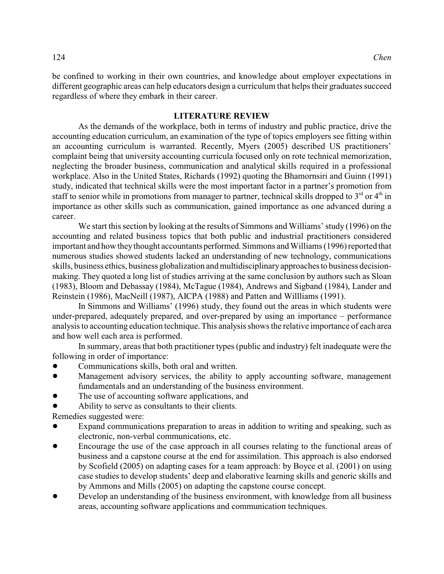be confined to working in their own countries, and knowledge about employer expectations in different geographic areas can help educators design a curriculum that helps their graduates succeed regardless of where they embark in their career.

# **LITERATURE REVIEW**

As the demands of the workplace, both in terms of industry and public practice, drive the accounting education curriculum, an examination of the type of topics employers see fitting within an accounting curriculum is warranted. Recently, Myers (2005) described US practitioners' complaint being that university accounting curricula focused only on rote technical memorization, neglecting the broader business, communication and analytical skills required in a professional workplace. Also in the United States, Richards (1992) quoting the Bhamornsiri and Guinn (1991) study, indicated that technical skills were the most important factor in a partner's promotion from staff to senior while in promotions from manager to partner, technical skills dropped to  $3<sup>rd</sup>$  or  $4<sup>th</sup>$  in importance as other skills such as communication, gained importance as one advanced during a career.

We start this section by looking at the results of Simmons and Williams' study (1996) on the accounting and related business topics that both public and industrial practitioners considered important and how theythought accountants performed. Simmons and Williams (1996) reported that numerous studies showed students lacked an understanding of new technology, communications skills, business ethics, business globalization and multidisciplinaryapproaches to business decisionmaking. They quoted a long list of studies arriving at the same conclusion by authors such as Sloan (1983), Bloom and Debassay (1984), McTague (1984), Andrews and Sigband (1984), Lander and Reinstein (1986), MacNeill (1987), AICPA (1988) and Patten and Willliams (1991).

In Simmons and Williams' (1996) study, they found out the areas in which students were under-prepared, adequately prepared, and over-prepared by using an importance – performance analysis to accounting education technique. This analysis shows the relative importance of each area and how well each area is performed.

In summary, areas that both practitioner types (public and industry) felt inadequate were the following in order of importance:

- Communications skills, both oral and written.
- Management advisory services, the ability to apply accounting software, management fundamentals and an understanding of the business environment.
- The use of accounting software applications, and
- ! Ability to serve as consultants to their clients.

Remedies suggested were:

- Expand communications preparation to areas in addition to writing and speaking, such as electronic, non-verbal communications, etc.
- ! Encourage the use of the case approach in all courses relating to the functional areas of business and a capstone course at the end for assimilation. This approach is also endorsed by Scofield (2005) on adapting cases for a team approach: by Boyce et al. (2001) on using case studies to develop students' deep and elaborative learning skills and generic skills and by Ammons and Mills (2005) on adapting the capstone course concept.
- ! Develop an understanding of the business environment, with knowledge from all business areas, accounting software applications and communication techniques.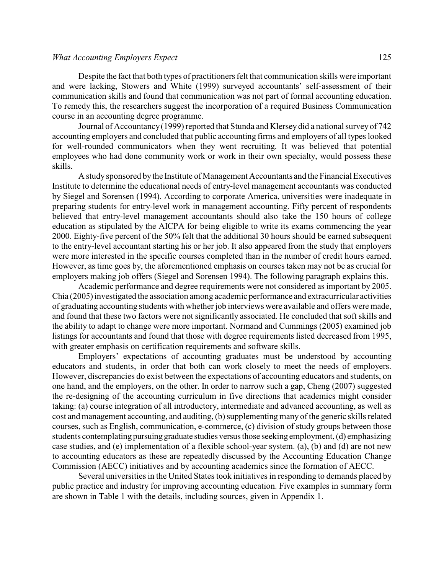#### *What Accounting Employers Expect* 125

Despite the fact that both types of practitioners felt that communication skills were important and were lacking, Stowers and White (1999) surveyed accountants' self-assessment of their communication skills and found that communication was not part of formal accounting education. To remedy this, the researchers suggest the incorporation of a required Business Communication course in an accounting degree programme.

Journal of Accountancy(1999) reported that Stunda and Klersey did a national surveyof 742 accounting employers and concluded that public accounting firms and employers of all types looked for well-rounded communicators when they went recruiting. It was believed that potential employees who had done community work or work in their own specialty, would possess these skills.

A study sponsored by the Institute of Management Accountants and the Financial Executives Institute to determine the educational needs of entry-level management accountants was conducted by Siegel and Sorensen (1994). According to corporate America, universities were inadequate in preparing students for entry-level work in management accounting. Fifty percent of respondents believed that entry-level management accountants should also take the 150 hours of college education as stipulated by the AICPA for being eligible to write its exams commencing the year 2000. Eighty-five percent of the 50% felt that the additional 30 hours should be earned subsequent to the entry-level accountant starting his or her job. It also appeared from the study that employers were more interested in the specific courses completed than in the number of credit hours earned. However, as time goes by, the aforementioned emphasis on courses taken may not be as crucial for employers making job offers (Siegel and Sorensen 1994). The following paragraph explains this.

Academic performance and degree requirements were not considered as important by 2005. Chia (2005) investigated the association among academic performance and extracurricular activities of graduating accounting students with whether job interviews were available and offers were made, and found that these two factors were not significantly associated. He concluded that soft skills and the ability to adapt to change were more important. Normand and Cummings (2005) examined job listings for accountants and found that those with degree requirements listed decreased from 1995, with greater emphasis on certification requirements and software skills.

Employers' expectations of accounting graduates must be understood by accounting educators and students, in order that both can work closely to meet the needs of employers. However, discrepancies do exist between the expectations of accounting educators and students, on one hand, and the employers, on the other. In order to narrow such a gap, Cheng (2007) suggested the re-designing of the accounting curriculum in five directions that academics might consider taking: (a) course integration of all introductory, intermediate and advanced accounting, as well as cost and management accounting, and auditing, (b) supplementing many of the generic skills related courses, such as English, communication, e-commerce, (c) division of study groups between those students contemplating pursuing graduate studies versusthose seeking employment, (d) emphasizing case studies, and (e) implementation of a flexible school-year system. (a), (b) and (d) are not new to accounting educators as these are repeatedly discussed by the Accounting Education Change Commission (AECC) initiatives and by accounting academics since the formation of AECC.

Several universities in the United States took initiatives in responding to demands placed by public practice and industry for improving accounting education. Five examples in summary form are shown in Table 1 with the details, including sources, given in Appendix 1.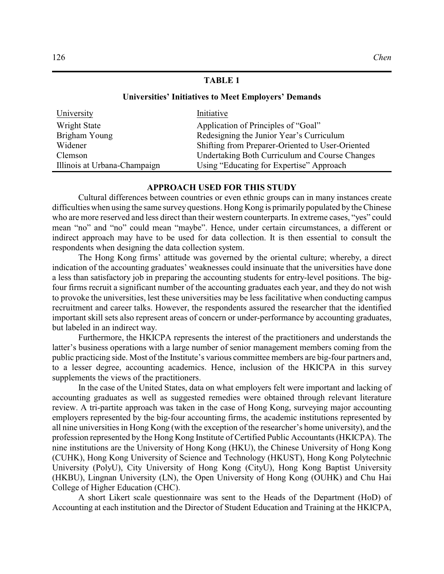# **TABLE 1**

#### **Universities' Initiatives to Meet Employers' Demands**

| University                   | Initiative                                            |
|------------------------------|-------------------------------------------------------|
| Wright State                 | Application of Principles of "Goal"                   |
| Brigham Young                | Redesigning the Junior Year's Curriculum              |
| Widener                      | Shifting from Preparer-Oriented to User-Oriented      |
| Clemson                      | <b>Undertaking Both Curriculum and Course Changes</b> |
| Illinois at Urbana-Champaign | Using "Educating for Expertise" Approach              |

# **APPROACH USED FOR THIS STUDY**

Cultural differences between countries or even ethnic groups can in many instances create difficulties when using the same survey questions. Hong Kong is primarily populated by the Chinese who are more reserved and less direct than their western counterparts. In extreme cases, "yes" could mean "no" and "no" could mean "maybe". Hence, under certain circumstances, a different or indirect approach may have to be used for data collection. It is then essential to consult the respondents when designing the data collection system.

The Hong Kong firms' attitude was governed by the oriental culture; whereby, a direct indication of the accounting graduates' weaknesses could insinuate that the universities have done a less than satisfactory job in preparing the accounting students for entry-level positions. The bigfour firms recruit a significant number of the accounting graduates each year, and they do not wish to provoke the universities, lest these universities may be less facilitative when conducting campus recruitment and career talks. However, the respondents assured the researcher that the identified important skill sets also represent areas of concern or under-performance by accounting graduates, but labeled in an indirect way.

Furthermore, the HKICPA represents the interest of the practitioners and understands the latter's business operations with a large number of senior management members coming from the public practicing side. Most of the Institute's various committee members are big-four partners and, to a lesser degree, accounting academics. Hence, inclusion of the HKICPA in this survey supplements the views of the practitioners.

In the case of the United States, data on what employers felt were important and lacking of accounting graduates as well as suggested remedies were obtained through relevant literature review. A tri-partite approach was taken in the case of Hong Kong, surveying major accounting employers represented by the big-four accounting firms, the academic institutions represented by all nine universities in Hong Kong (with the exception of the researcher's home university), and the profession represented by the Hong Kong Institute of Certified Public Accountants (HKICPA). The nine institutions are the University of Hong Kong (HKU), the Chinese University of Hong Kong (CUHK), Hong Kong University of Science and Technology (HKUST), Hong Kong Polytechnic University (PolyU), City University of Hong Kong (CityU), Hong Kong Baptist University (HKBU), Lingnan University (LN), the Open University of Hong Kong (OUHK) and Chu Hai College of Higher Education (CHC).

A short Likert scale questionnaire was sent to the Heads of the Department (HoD) of Accounting at each institution and the Director of Student Education and Training at the HKICPA,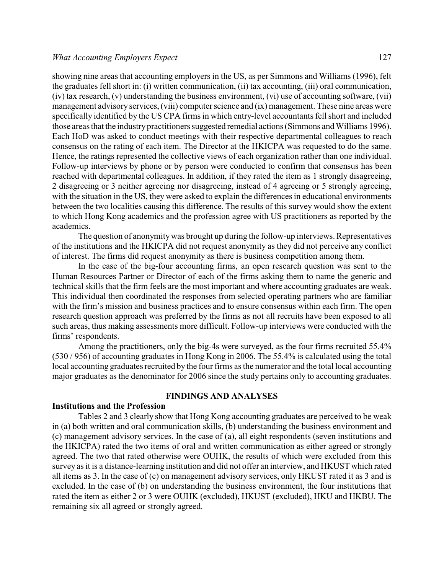showing nine areas that accounting employers in the US, as per Simmons and Williams (1996), felt the graduates fell short in: (i) written communication, (ii) tax accounting, (iii) oral communication, (iv) tax research, (v) understanding the business environment, (vi) use of accounting software, (vii) management advisory services, (viii) computer science and (ix) management. These nine areas were specifically identified by the US CPA firms in which entry-level accountants fell short and included those areas that the industry practitioners suggested remedial actions (Simmons and Williams 1996). Each HoD was asked to conduct meetings with their respective departmental colleagues to reach consensus on the rating of each item. The Director at the HKICPA was requested to do the same. Hence, the ratings represented the collective views of each organization rather than one individual. Follow-up interviews by phone or by person were conducted to confirm that consensus has been reached with departmental colleagues. In addition, if they rated the item as 1 strongly disagreeing, 2 disagreeing or 3 neither agreeing nor disagreeing, instead of 4 agreeing or 5 strongly agreeing, with the situation in the US, they were asked to explain the differences in educational environments between the two localities causing this difference. The results of this survey would show the extent to which Hong Kong academics and the profession agree with US practitioners as reported by the academics.

The question of anonymity was brought up during the follow-up interviews. Representatives of the institutions and the HKICPA did not request anonymity as they did not perceive any conflict of interest. The firms did request anonymity as there is business competition among them.

In the case of the big-four accounting firms, an open research question was sent to the Human Resources Partner or Director of each of the firms asking them to name the generic and technical skills that the firm feels are the most important and where accounting graduates are weak. This individual then coordinated the responses from selected operating partners who are familiar with the firm's mission and business practices and to ensure consensus within each firm. The open research question approach was preferred by the firms as not all recruits have been exposed to all such areas, thus making assessments more difficult. Follow-up interviews were conducted with the firms' respondents.

Among the practitioners, only the big-4s were surveyed, as the four firms recruited 55.4% (530 / 956) of accounting graduates in Hong Kong in 2006. The 55.4% is calculated using the total local accounting graduates recruited by the four firms as the numerator and the total local accounting major graduates as the denominator for 2006 since the study pertains only to accounting graduates.

#### **FINDINGS AND ANALYSES**

## **Institutions and the Profession**

Tables 2 and 3 clearly show that Hong Kong accounting graduates are perceived to be weak in (a) both written and oral communication skills, (b) understanding the business environment and (c) management advisory services. In the case of (a), all eight respondents (seven institutions and the HKICPA) rated the two items of oral and written communication as either agreed or strongly agreed. The two that rated otherwise were OUHK, the results of which were excluded from this survey as it is a distance-learning institution and did not offer an interview, and HKUST which rated all items as 3. In the case of (c) on management advisory services, only HKUST rated it as 3 and is excluded. In the case of (b) on understanding the business environment, the four institutions that rated the item as either 2 or 3 were OUHK (excluded), HKUST (excluded), HKU and HKBU. The remaining six all agreed or strongly agreed.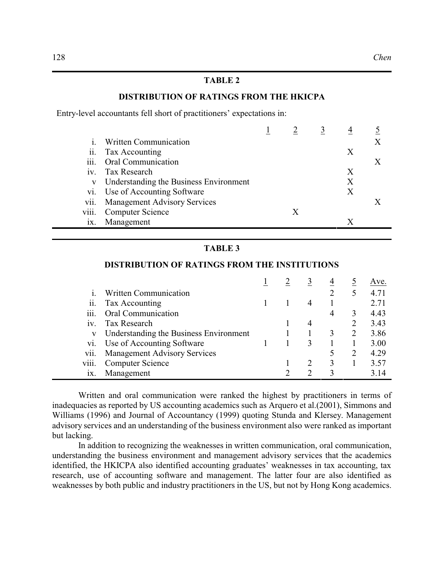# **TABLE 2**

## **DISTRIBUTION OF RATINGS FROM THE HKICPA**

Entry-level accountants fell short of practitioners' expectations in:

|     | Written Communication                  |   |   |  |
|-----|----------------------------------------|---|---|--|
|     | ii. Tax Accounting                     |   | X |  |
|     | iii. Oral Communication                |   |   |  |
| iv. | Tax Research                           |   | X |  |
| V   | Understanding the Business Environment |   | Χ |  |
|     | vi. Use of Accounting Software         |   | X |  |
|     | vii. Management Advisory Services      |   |   |  |
|     | viii. Computer Science                 | X |   |  |
| 1X. | Management                             |   |   |  |

#### **TABLE 3**

|       |                                        |  |   | 4 |   | Ave. |
|-------|----------------------------------------|--|---|---|---|------|
|       | <b>Written Communication</b>           |  |   |   | 5 | 4.71 |
| ii.   | Tax Accounting                         |  |   |   |   | 2.71 |
| iii.  | Oral Communication                     |  |   | 4 | 3 | 4.43 |
| 1V.   | Tax Research                           |  | 4 |   |   | 3.43 |
| V     | Understanding the Business Environment |  |   | 3 | 2 | 3.86 |
| vi.   | Use of Accounting Software             |  |   |   |   | 3.00 |
| vii.  | <b>Management Advisory Services</b>    |  |   |   | 2 | 4.29 |
| V111. | <b>Computer Science</b>                |  |   | 3 |   | 3.57 |
| 1X.   | Management                             |  |   |   |   | 3.14 |

# **DISTRIBUTION OF RATINGS FROM THE INSTITUTIONS**

Written and oral communication were ranked the highest by practitioners in terms of inadequacies as reported by US accounting academics such as Arquero et al.(2001), Simmons and Williams (1996) and Journal of Accountancy (1999) quoting Stunda and Klersey. Management advisory services and an understanding of the business environment also were ranked as important but lacking.

In addition to recognizing the weaknesses in written communication, oral communication, understanding the business environment and management advisory services that the academics identified, the HKICPA also identified accounting graduates' weaknesses in tax accounting, tax research, use of accounting software and management. The latter four are also identified as weaknesses by both public and industry practitioners in the US, but not by Hong Kong academics.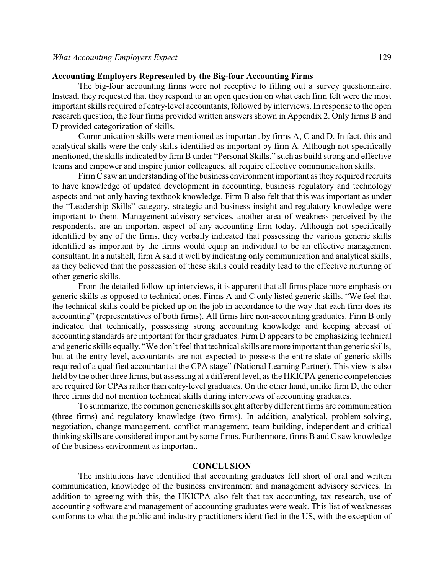### **Accounting Employers Represented by the Big-four Accounting Firms**

The big-four accounting firms were not receptive to filling out a survey questionnaire. Instead, they requested that they respond to an open question on what each firm felt were the most important skills required of entry-level accountants, followed by interviews. In response to the open research question, the four firms provided written answers shown in Appendix 2. Only firms B and D provided categorization of skills.

Communication skills were mentioned as important by firms A, C and D. In fact, this and analytical skills were the only skills identified as important by firm A. Although not specifically mentioned, the skills indicated by firm B under "Personal Skills," such as build strong and effective teams and empower and inspire junior colleagues, all require effective communication skills.

Firm C saw an understanding of the business environment important as they required recruits to have knowledge of updated development in accounting, business regulatory and technology aspects and not only having textbook knowledge. Firm B also felt that this was important as under the "Leadership Skills" category, strategic and business insight and regulatory knowledge were important to them. Management advisory services, another area of weakness perceived by the respondents, are an important aspect of any accounting firm today. Although not specifically identified by any of the firms, they verbally indicated that possessing the various generic skills identified as important by the firms would equip an individual to be an effective management consultant. In a nutshell, firm A said it well by indicating only communication and analytical skills, as they believed that the possession of these skills could readily lead to the effective nurturing of other generic skills.

From the detailed follow-up interviews, it is apparent that all firms place more emphasis on generic skills as opposed to technical ones. Firms A and C only listed generic skills. "We feel that the technical skills could be picked up on the job in accordance to the way that each firm does its accounting" (representatives of both firms). All firms hire non-accounting graduates. Firm B only indicated that technically, possessing strong accounting knowledge and keeping abreast of accounting standards are important for their graduates. Firm D appears to be emphasizing technical and generic skills equally. "We don't feel that technical skills are more important than generic skills, but at the entry-level, accountants are not expected to possess the entire slate of generic skills required of a qualified accountant at the CPA stage" (National Learning Partner). This view is also held by the other three firms, but assessing at a different level, as the HKICPA generic competencies are required for CPAs rather than entry-level graduates. On the other hand, unlike firm D, the other three firms did not mention technical skills during interviews of accounting graduates.

To summarize, the common generic skills sought after by different firms are communication (three firms) and regulatory knowledge (two firms). In addition, analytical, problem-solving, negotiation, change management, conflict management, team-building, independent and critical thinking skills are considered important by some firms. Furthermore, firms B and C saw knowledge of the business environment as important.

## **CONCLUSION**

The institutions have identified that accounting graduates fell short of oral and written communication, knowledge of the business environment and management advisory services. In addition to agreeing with this, the HKICPA also felt that tax accounting, tax research, use of accounting software and management of accounting graduates were weak. This list of weaknesses conforms to what the public and industry practitioners identified in the US, with the exception of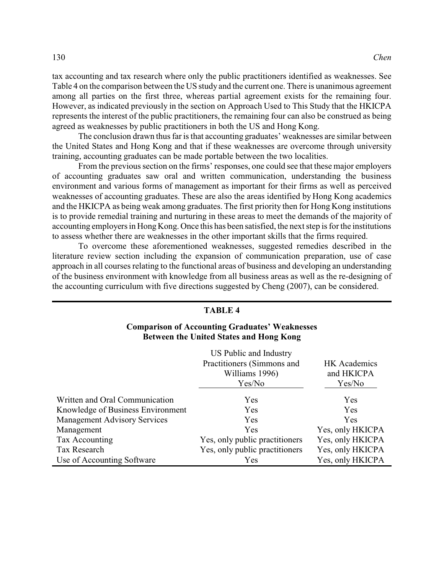tax accounting and tax research where only the public practitioners identified as weaknesses. See Table 4 on the comparison between the US study and the current one. There is unanimous agreement among all parties on the first three, whereas partial agreement exists for the remaining four. However, as indicated previously in the section on Approach Used to This Study that the HKICPA represents the interest of the public practitioners, the remaining four can also be construed as being agreed as weaknesses by public practitioners in both the US and Hong Kong.

The conclusion drawn thus far is that accounting graduates' weaknesses are similar between the United States and Hong Kong and that if these weaknesses are overcome through university training, accounting graduates can be made portable between the two localities.

From the previous section on the firms' responses, one could see that these major employers of accounting graduates saw oral and written communication, understanding the business environment and various forms of management as important for their firms as well as perceived weaknesses of accounting graduates. These are also the areas identified by Hong Kong academics and the HKICPA as being weak among graduates. The first priority then for Hong Kong institutions is to provide remedial training and nurturing in these areas to meet the demands of the majority of accounting employers in Hong Kong. Once this has been satisfied, the next step is for the institutions to assess whether there are weaknesses in the other important skills that the firms required.

To overcome these aforementioned weaknesses, suggested remedies described in the literature review section including the expansion of communication preparation, use of case approach in all courses relating to the functional areas of business and developing an understanding of the business environment with knowledge from all business areas as well as the re-designing of the accounting curriculum with five directions suggested by Cheng (2007), can be considered.

| <b>TABLE 4</b>                                                                                          |                                                                                  |                                             |  |  |  |
|---------------------------------------------------------------------------------------------------------|----------------------------------------------------------------------------------|---------------------------------------------|--|--|--|
| <b>Comparison of Accounting Graduates' Weaknesses</b><br><b>Between the United States and Hong Kong</b> |                                                                                  |                                             |  |  |  |
|                                                                                                         | US Public and Industry<br>Practitioners (Simmons and<br>Williams 1996)<br>Yes/No | <b>HK</b> Academics<br>and HKICPA<br>Yes/No |  |  |  |
| Written and Oral Communication                                                                          | Yes                                                                              | Yes                                         |  |  |  |
| Knowledge of Business Environment                                                                       | Yes                                                                              | Yes                                         |  |  |  |
| <b>Management Advisory Services</b>                                                                     | Yes                                                                              | <b>Yes</b>                                  |  |  |  |
| Management                                                                                              | Yes                                                                              | Yes, only HKICPA                            |  |  |  |
| Tax Accounting                                                                                          | Yes, only public practitioners                                                   | Yes, only HKICPA                            |  |  |  |
| Tax Research                                                                                            | Yes, only public practitioners                                                   | Yes, only HKICPA                            |  |  |  |
| Use of Accounting Software                                                                              | Yes                                                                              | Yes, only HKICPA                            |  |  |  |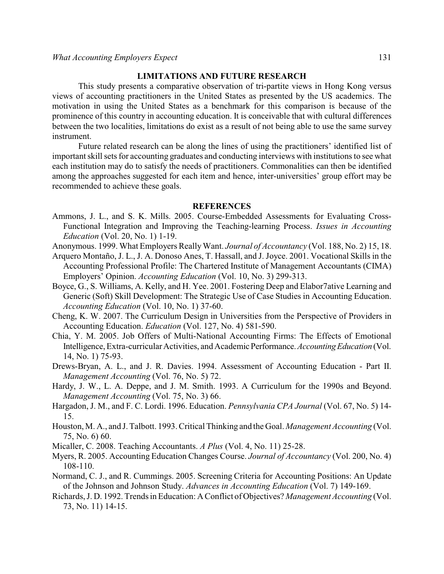# **LIMITATIONS AND FUTURE RESEARCH**

This study presents a comparative observation of tri-partite views in Hong Kong versus views of accounting practitioners in the United States as presented by the US academics. The motivation in using the United States as a benchmark for this comparison is because of the prominence of this country in accounting education. It is conceivable that with cultural differences between the two localities, limitations do exist as a result of not being able to use the same survey instrument.

Future related research can be along the lines of using the practitioners' identified list of important skill sets for accounting graduates and conducting interviews with institutions to see what each institution may do to satisfy the needs of practitioners. Commonalities can then be identified among the approaches suggested for each item and hence, inter-universities' group effort may be recommended to achieve these goals.

#### **REFERENCES**

- Ammons, J. L., and S. K. Mills. 2005. Course-Embedded Assessments for Evaluating Cross-Functional Integration and Improving the Teaching-learning Process. *Issues in Accounting Education* (Vol. 20, No. 1) 1-19.
- Anonymous. 1999. What Employers ReallyWant. *Journal of Accountancy* (Vol. 188, No. 2) 15, 18.
- Arquero Montaño, J. L., J. A. Donoso Anes, T. Hassall, and J. Joyce. 2001. Vocational Skills in the Accounting Professional Profile: The Chartered Institute of Management Accountants (CIMA) Employers' Opinion. *Accounting Education* (Vol. 10, No. 3) 299-313.
- Boyce, G., S. Williams, A. Kelly, and H. Yee. 2001. Fostering Deep and Elabor7ative Learning and Generic (Soft) Skill Development: The Strategic Use of Case Studies in Accounting Education. *Accounting Education* (Vol. 10, No. 1) 37-60.
- Cheng, K. W. 2007. The Curriculum Design in Universities from the Perspective of Providers in Accounting Education. *Education* (Vol. 127, No. 4) 581-590.
- Chia, Y. M. 2005. Job Offers of Multi-National Accounting Firms: The Effects of Emotional Intelligence, Extra-curricular Activities, and Academic Performance. Accounting Education (Vol. 14, No. 1) 75-93.
- Drews-Bryan, A. L., and J. R. Davies. 1994. Assessment of Accounting Education Part II. *Management Accounting* (Vol. 76, No. 5) 72.
- Hardy, J. W., L. A. Deppe, and J. M. Smith. 1993. A Curriculum for the 1990s and Beyond. *Management Accounting* (Vol. 75, No. 3) 66.
- Hargadon, J. M., and F. C. Lordi. 1996. Education. *Pennsylvania CPA Journal* (Vol. 67, No. 5) 14- 15.
- Houston, M. A., and J. Talbott. 1993. Critical Thinking and the Goal. *Management Accounting* (Vol. 75, No. 6) 60.
- Micaller, C. 2008. Teaching Accountants. *A Plus* (Vol. 4, No. 11) 25-28.
- Myers, R. 2005. Accounting Education Changes Course. *Journal of Accountancy* (Vol. 200, No. 4) 108-110.
- Normand, C. J., and R. Cummings. 2005. Screening Criteria for Accounting Positions: An Update of the Johnson and Johnson Study. *Advances in Accounting Education* (Vol. 7) 149-169.
- Richards, J. D. 1992. Trends in Education: AConflict of Objectives? *Management Accounting* (Vol. 73, No. 11) 14-15.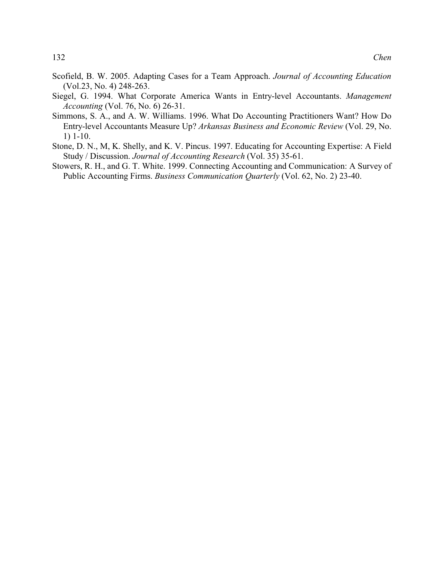- Scofield, B. W. 2005. Adapting Cases for a Team Approach. *Journal of Accounting Education* (Vol.23, No. 4) 248-263.
- Siegel, G. 1994. What Corporate America Wants in Entry-level Accountants. *Management Accounting* (Vol. 76, No. 6) 26-31.
- Simmons, S. A., and A. W. Williams. 1996. What Do Accounting Practitioners Want? How Do Entry-level Accountants Measure Up? *Arkansas Business and Economic Review* (Vol. 29, No. 1) 1-10.
- Stone, D. N., M, K. Shelly, and K. V. Pincus. 1997. Educating for Accounting Expertise: A Field Study / Discussion. *Journal of Accounting Research* (Vol. 35) 35-61.
- Stowers, R. H., and G. T. White. 1999. Connecting Accounting and Communication: A Survey of Public Accounting Firms. *Business Communication Quarterly* (Vol. 62, No. 2) 23-40.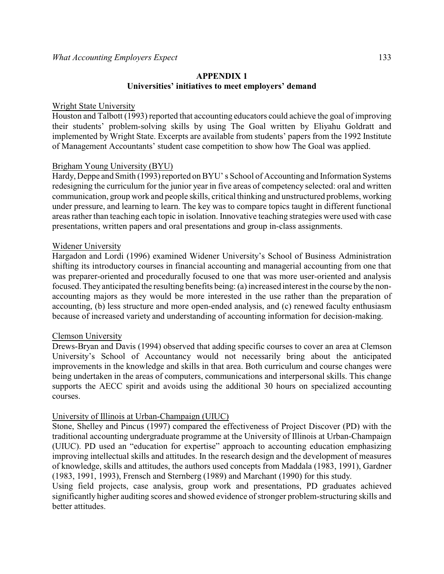# **APPENDIX 1 Universities' initiatives to meet employers' demand**

#### Wright State University

Houston and Talbott (1993) reported that accounting educators could achieve the goal of improving their students' problem-solving skills by using The Goal written by Eliyahu Goldratt and implemented by Wright State. Excerpts are available from students' papers from the 1992 Institute of Management Accountants' student case competition to show how The Goal was applied.

#### Brigham Young University (BYU)

Hardy, Deppe and Smith (1993) reported on BYU' s School of Accounting and Information Systems redesigning the curriculum for the junior year in five areas of competency selected: oral and written communication, group work and people skills, critical thinking and unstructured problems, working under pressure, and learning to learn. The key was to compare topics taught in different functional areas rather than teaching each topic in isolation. Innovative teaching strategies were used with case presentations, written papers and oral presentations and group in-class assignments.

#### Widener University

Hargadon and Lordi (1996) examined Widener University's School of Business Administration shifting its introductory courses in financial accounting and managerial accounting from one that was preparer-oriented and procedurally focused to one that was more user-oriented and analysis focused. They anticipated the resulting benefits being: (a) increased interest in the course by the nonaccounting majors as they would be more interested in the use rather than the preparation of accounting, (b) less structure and more open-ended analysis, and (c) renewed faculty enthusiasm because of increased variety and understanding of accounting information for decision-making.

#### Clemson University

Drews-Bryan and Davis (1994) observed that adding specific courses to cover an area at Clemson University's School of Accountancy would not necessarily bring about the anticipated improvements in the knowledge and skills in that area. Both curriculum and course changes were being undertaken in the areas of computers, communications and interpersonal skills. This change supports the AECC spirit and avoids using the additional 30 hours on specialized accounting courses.

#### University of Illinois at Urban-Champaign (UIUC)

Stone, Shelley and Pincus (1997) compared the effectiveness of Project Discover (PD) with the traditional accounting undergraduate programme at the University of Illinois at Urban-Champaign (UIUC). PD used an "education for expertise" approach to accounting education emphasizing improving intellectual skills and attitudes. In the research design and the development of measures of knowledge, skills and attitudes, the authors used concepts from Maddala (1983, 1991), Gardner (1983, 1991, 1993), Frensch and Sternberg (1989) and Marchant (1990) for this study.

Using field projects, case analysis, group work and presentations, PD graduates achieved significantly higher auditing scores and showed evidence of stronger problem-structuring skills and better attitudes.